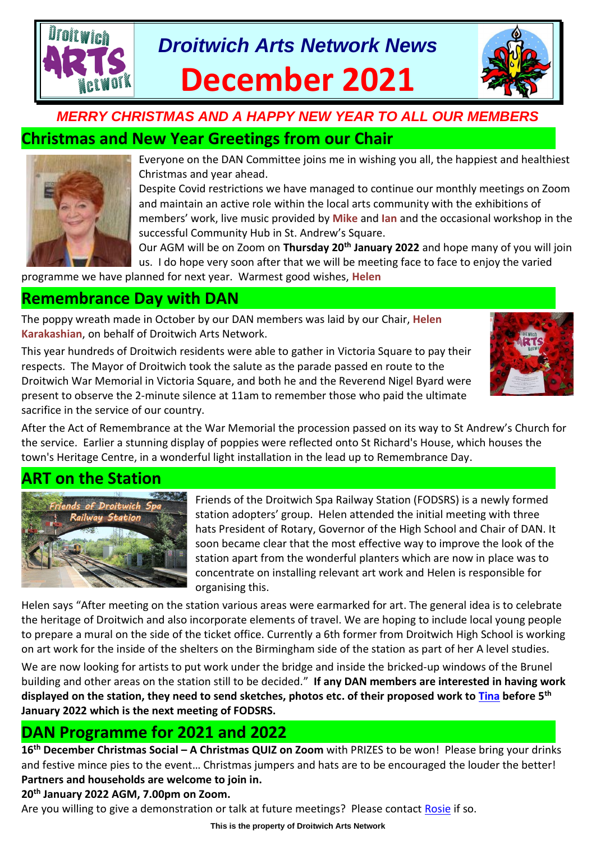# *Droitwich Arts Network News* **December 2021**



# **Christmas and New Year Greetings from our Chair**



Everyone on the DAN Committee joins me in wishing you all, the happiest and healthiest Christmas and year ahead.

Despite Covid restrictions we have managed to continue our monthly meetings on Zoom and maintain an active role within the local arts community with the exhibitions of members' work, live music provided by **Mike** and **Ian** and the occasional workshop in the successful Community Hub in St. Andrew's Square.

Our AGM will be on Zoom on **Thursday 20th January 2022** and hope many of you will join us. I do hope very soon after that we will be meeting face to face to enjoy the varied

programme we have planned for next year. Warmest good wishes, **Helen**

### **Remembrance Day with DAN**

The poppy wreath made in October by our DAN members was laid by our Chair, **Helen Karakashian**, on behalf of Droitwich Arts Network.

This year hundreds of Droitwich residents were able to gather in Victoria Square to pay their respects. The Mayor of Droitwich took the salute as the parade passed en route to the Droitwich War Memorial in Victoria Square, and both he and the Reverend Nigel Byard were present to observe the 2-minute silence at 11am to remember those who paid the ultimate sacrifice in the service of our country.



After the Act of Remembrance at the War Memorial the procession passed on its way to St Andrew's Church for the service. Earlier a stunning display of poppies were reflected onto St Richard's House, which houses the town's Heritage Centre, in a wonderful light installation in the lead up to Remembrance Day.

# **ART on the Station**



Friends of the Droitwich Spa Railway Station (FODSRS) is a newly formed station adopters' group. Helen attended the initial meeting with three hats President of Rotary, Governor of the High School and Chair of DAN. It soon became clear that the most effective way to improve the look of the station apart from the wonderful planters which are now in place was to concentrate on installing relevant art work and Helen is responsible for organising this.

Helen says "After meeting on the station various areas were earmarked for art. The general idea is to celebrate the heritage of Droitwich and also incorporate elements of travel. We are hoping to include local young people to prepare a mural on the side of the ticket office. Currently a 6th former from Droitwich High School is working on art work for the inside of the shelters on the Birmingham side of the station as part of her A level studies.

We are now looking for artists to put work under the bridge and inside the bricked-up windows of the Brunel building and other areas on the station still to be decided." **If any DAN members are interested in having work displayed on the station, they need to send sketches, photos etc. of their proposed work to [Tina](mailto:tina.watkins.ntlworld@gmail.com) before 5th January 2022 which is the next meeting of FODSRS.**

# **DAN Programme for 2021 and 2022**

**16 th December Christmas Social – A Christmas QUIZ on Zoom** with PRIZES to be won! Please bring your drinks and festive mince pies to the event… Christmas jumpers and hats are to be encouraged the louder the better! **Partners and households are welcome to join in.**

#### **20th January 2022 AGM, 7.00pm on Zoom.**

Are you willing to give a demonstration or talk at future meetings? Please contact [Rosie](mailto:rosiepose@tiscali.co.uk) if so.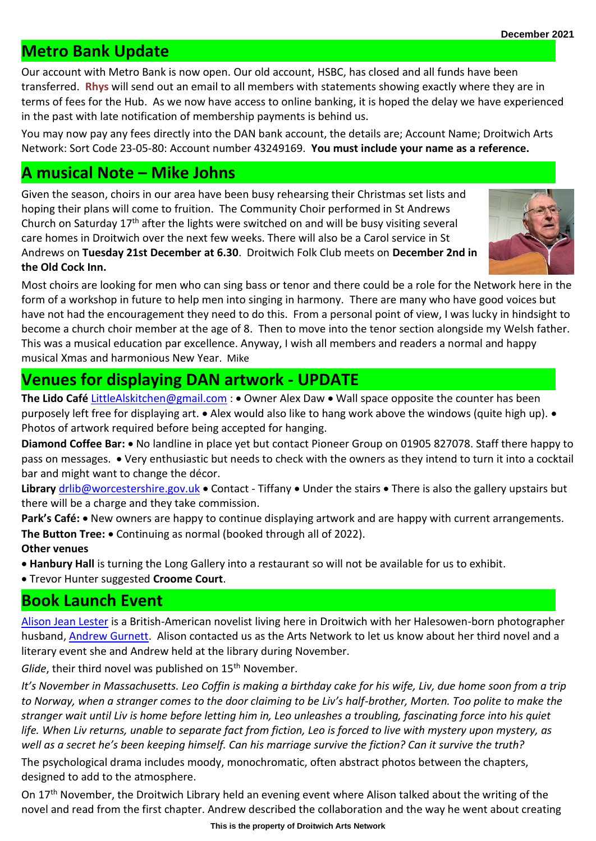### **Metro Bank Update**

Our account with Metro Bank is now open. Our old account, HSBC, has closed and all funds have been transferred. **Rhys** will send out an email to all members with statements showing exactly where they are in terms of fees for the Hub. As we now have access to online banking, it is hoped the delay we have experienced in the past with late notification of membership payments is behind us.

You may now pay any fees directly into the DAN bank account, the details are; Account Name; Droitwich Arts Network: Sort Code 23-05-80: Account number 43249169. **You must include your name as a reference.** 

#### **A musical Note – Mike Johns**

Given the season, choirs in our area have been busy rehearsing their Christmas set lists and hoping their plans will come to fruition. The Community Choir performed in St Andrews Church on Saturday  $17<sup>th</sup>$  after the lights were switched on and will be busy visiting several care homes in Droitwich over the next few weeks. There will also be a Carol service in St Andrews on **Tuesday 21st December at 6.30**. Droitwich Folk Club meets on **December 2nd in the Old Cock Inn.** 



Most choirs are looking for men who can sing bass or tenor and there could be a role for the Network here in the form of a workshop in future to help men into singing in harmony. There are many who have good voices but have not had the encouragement they need to do this. From a personal point of view, I was lucky in hindsight to become a church choir member at the age of 8. Then to move into the tenor section alongside my Welsh father. This was a musical education par excellence. Anyway, I wish all members and readers a normal and happy musical Xmas and harmonious New Year. Mike

# **Venues for displaying DAN artwork - UPDATE**

**The Lido Café** [LittleAlskitchen@gmail.com](mailto:LittleAlskitchen@gmail.com) : • Owner Alex Daw • Wall space opposite the counter has been purposely left free for displaying art. • Alex would also like to hang work above the windows (quite high up). • Photos of artwork required before being accepted for hanging.

**Diamond Coffee Bar:** • No landline in place yet but contact Pioneer Group on 01905 827078. Staff there happy to pass on messages. • Very enthusiastic but needs to check with the owners as they intend to turn it into a cocktail bar and might want to change the décor.

**Library** [drlib@worcestershire.gov.uk](mailto:drlib@worcestershire.gov.uk) • Contact - Tiffany • Under the stairs • There is also the gallery upstairs but there will be a charge and they take commission.

Park's Café: • New owners are happy to continue displaying artwork and are happy with current arrangements. **The Button Tree:** • Continuing as normal (booked through all of 2022). **Other venues** 

• **Hanbury Hall** is turning the Long Gallery into a restaurant so will not be available for us to exhibit.

• Trevor Hunter suggested **Croome Court**.

### **Book Launch Event**

[Alison Jean Lester](http://www.alisonjeanlester.com/) is a British-American novelist living here in Droitwich with her Halesowen-born photographer husband, [Andrew Gurnett.](https://www.andrewgurnett.com/) Alison contacted us as the Arts Network to let us know about her third novel and a literary event she and Andrew held at the library during November.

*Glide*, their third novel was published on 15<sup>th</sup> November.

*It's November in Massachusetts. Leo Coffin is making a birthday cake for his wife, Liv, due home soon from a trip to Norway, when a stranger comes to the door claiming to be Liv's half-brother, Morten. Too polite to make the stranger wait until Liv is home before letting him in, Leo unleashes a troubling, fascinating force into his quiet life. When Liv returns, unable to separate fact from fiction, Leo is forced to live with mystery upon mystery, as well as a secret he's been keeping himself. Can his marriage survive the fiction? Can it survive the truth?*

The psychological drama includes moody, monochromatic, often abstract photos between the chapters, designed to add to the atmosphere.

On 17<sup>th</sup> November, the Droitwich Library held an evening event where Alison talked about the writing of the novel and read from the first chapter. Andrew described the collaboration and the way he went about creating